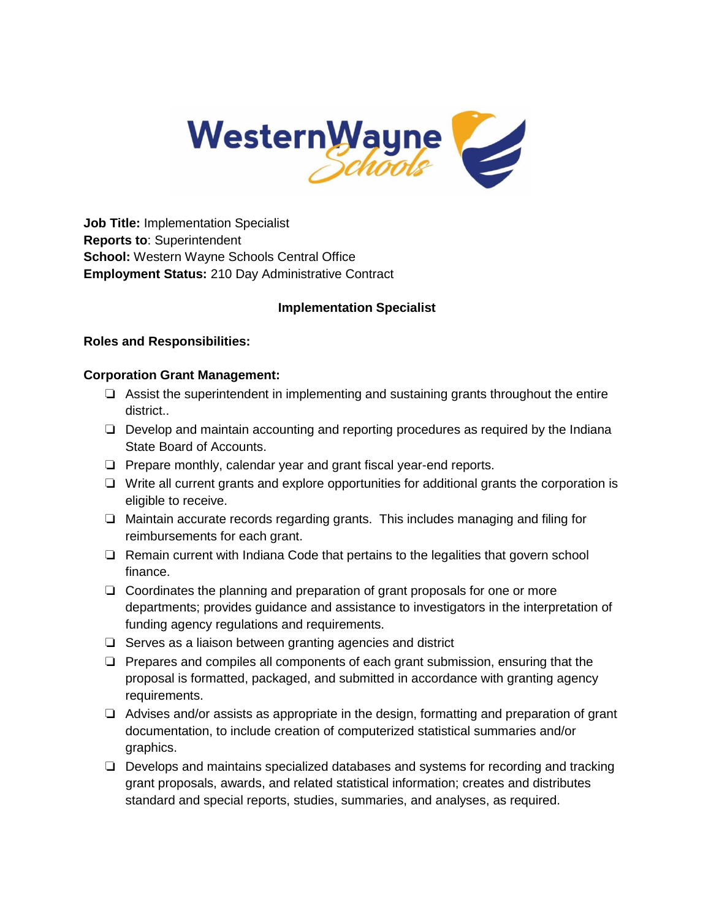

**Job Title:** Implementation Specialist **Reports to**: Superintendent **School:** Western Wayne Schools Central Office **Employment Status:** 210 Day Administrative Contract

### **Implementation Specialist**

### **Roles and Responsibilities:**

### **Corporation Grant Management:**

- ❏ Assist the superintendent in implementing and sustaining grants throughout the entire district..
- ❏ Develop and maintain accounting and reporting procedures as required by the Indiana State Board of Accounts.
- ❏ Prepare monthly, calendar year and grant fiscal year-end reports.
- ❏ Write all current grants and explore opportunities for additional grants the corporation is eligible to receive.
- ❏ Maintain accurate records regarding grants. This includes managing and filing for reimbursements for each grant.
- ❏ Remain current with Indiana Code that pertains to the legalities that govern school finance.
- ❏ Coordinates the planning and preparation of grant proposals for one or more departments; provides guidance and assistance to investigators in the interpretation of funding agency regulations and requirements.
- ❏ Serves as a liaison between granting agencies and district
- ❏ Prepares and compiles all components of each grant submission, ensuring that the proposal is formatted, packaged, and submitted in accordance with granting agency requirements.
- ❏ Advises and/or assists as appropriate in the design, formatting and preparation of grant documentation, to include creation of computerized statistical summaries and/or graphics.
- ❏ Develops and maintains specialized databases and systems for recording and tracking grant proposals, awards, and related statistical information; creates and distributes standard and special reports, studies, summaries, and analyses, as required.